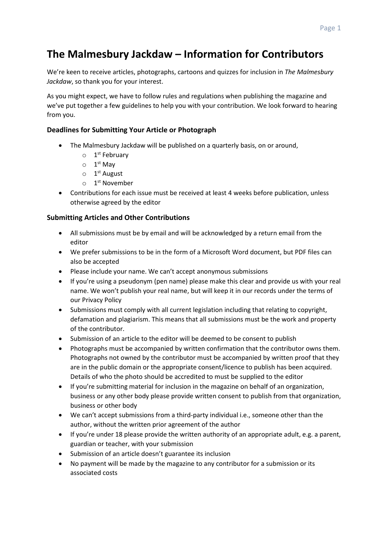# **The Malmesbury Jackdaw – Information for Contributors**

We're keen to receive articles, photographs, cartoons and quizzes for inclusion in *The Malmesbury Jackdaw*, so thank you for your interest.

As you might expect, we have to follow rules and regulations when publishing the magazine and we've put together a few guidelines to help you with your contribution. We look forward to hearing from you.

## **Deadlines for Submitting Your Article or Photograph**

- The Malmesbury Jackdaw will be published on a quarterly basis, on or around,
	- o 1<sup>st</sup> February
	- $\circ$  1<sup>st</sup> May
	- o 1<sup>st</sup> August
	- o 1 st November
- Contributions for each issue must be received at least 4 weeks before publication, unless otherwise agreed by the editor

### **Submitting Articles and Other Contributions**

- All submissions must be by email and will be acknowledged by a return email from the editor
- We prefer submissions to be in the form of a Microsoft Word document, but PDF files can also be accepted
- Please include your name. We can't accept anonymous submissions
- If you're using a pseudonym (pen name) please make this clear and provide us with your real name. We won't publish your real name, but will keep it in our records under the terms of our Privacy Policy
- Submissions must comply with all current legislation including that relating to copyright, defamation and plagiarism. This means that all submissions must be the work and property of the contributor.
- Submission of an article to the editor will be deemed to be consent to publish
- Photographs must be accompanied by written confirmation that the contributor owns them. Photographs not owned by the contributor must be accompanied by written proof that they are in the public domain or the appropriate consent/licence to publish has been acquired. Details of who the photo should be accredited to must be supplied to the editor
- If you're submitting material for inclusion in the magazine on behalf of an organization, business or any other body please provide written consent to publish from that organization, business or other body
- We can't accept submissions from a third-party individual i.e., someone other than the author, without the written prior agreement of the author
- If you're under 18 please provide the written authority of an appropriate adult, e.g. a parent, guardian or teacher, with your submission
- Submission of an article doesn't guarantee its inclusion
- No payment will be made by the magazine to any contributor for a submission or its associated costs